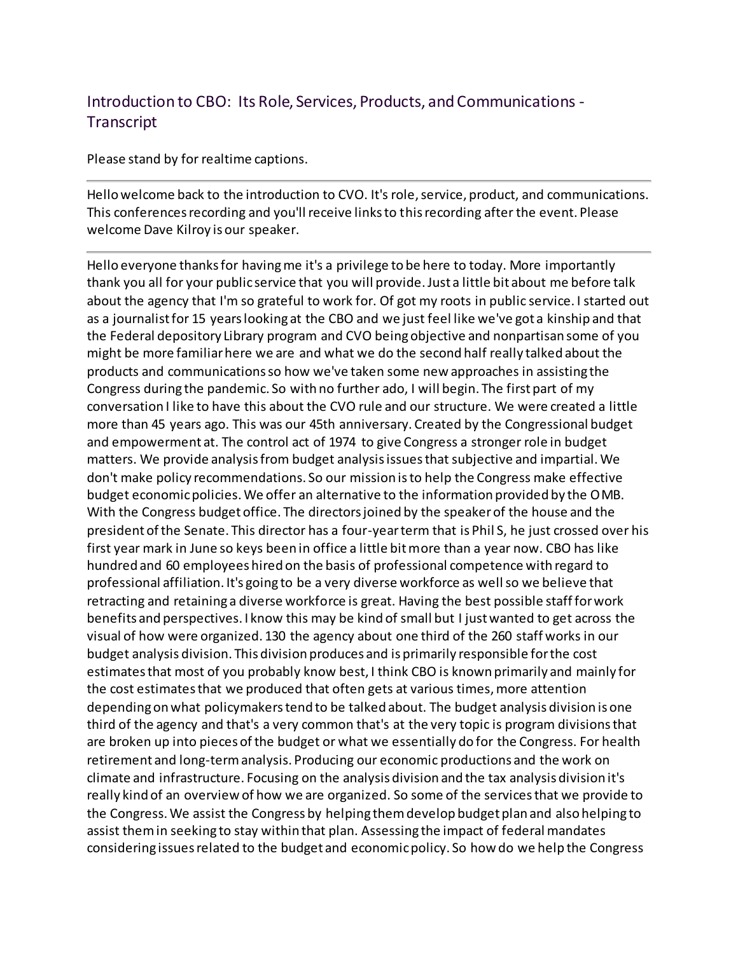## Introduction to CBO: Its Role, Services, Products, and Communications - **Transcript**

Please stand by for realtime captions.

Hello welcome back to the introduction to CVO. It's role, service, product, and communications. This conferences recording and you'll receive links to this recording after the event. Please welcome Dave Kilroy is our speaker.

Hello everyone thanks for having me it's a privilege to be here to today. More importantly thank you all for your public service that you will provide. Just a little bit about me before talk about the agency that I'm so grateful to work for. Of got my roots in public service. I started out as a journalist for 15 years looking at the CBO and we just feel like we've got a kinship and that the Federal depository Library program and CVO being objective and nonpartisan some of you might be more familiar here we are and what we do the second half really talked about the products and communications so how we've taken some new approaches in assisting the Congress during the pandemic. So with no further ado, I will begin. The first part of my conversation I like to have this about the CVO rule and our structure. We were created a little more than 45 years ago. This was our 45th anniversary. Created by the Congressional budget and empowerment at. The control act of 1974 to give Congress a stronger role in budget matters. We provide analysis from budget analysis issues that subjective and impartial. We don't make policy recommendations. So our mission is to help the Congress make effective budget economic policies. We offer an alternative to the information provided by the OMB. With the Congress budget office. The directors joined by the speaker of the house and the president of the Senate. This director has a four-year term that is Phil S, he just crossed over his first year mark in June so keys been in office a little bit more than a year now. CBO has like hundred and 60 employees hired on the basis of professional competence with regard to professional affiliation. It's going to be a very diverse workforce as well so we believe that retracting and retaining a diverse workforce is great. Having the best possible staff for work benefits and perspectives. I know this may be kind of small but I just wanted to get across the visual of how were organized. 130 the agency about one third of the 260 staff works in our budget analysis division. This division produces and is primarily responsible for the cost estimates that most of you probably know best, I think CBO is known primarily and mainly for the cost estimates that we produced that often gets at various times, more attention depending on what policymakers tend to be talked about. The budget analysis division is one third of the agency and that's a very common that's at the very topic is program divisions that are broken up into pieces of the budget or what we essentially do for the Congress. For health retirement and long-term analysis. Producing our economic productions and the work on climate and infrastructure. Focusing on the analysis division and the tax analysis division it's really kind of an overview of how we are organized. So some of the services that we provide to the Congress. We assist the Congress by helping them develop budget plan and also helping to assist them in seeking to stay within that plan. Assessing the impact of federal mandates considering issues related to the budget and economic policy. So how do we help the Congress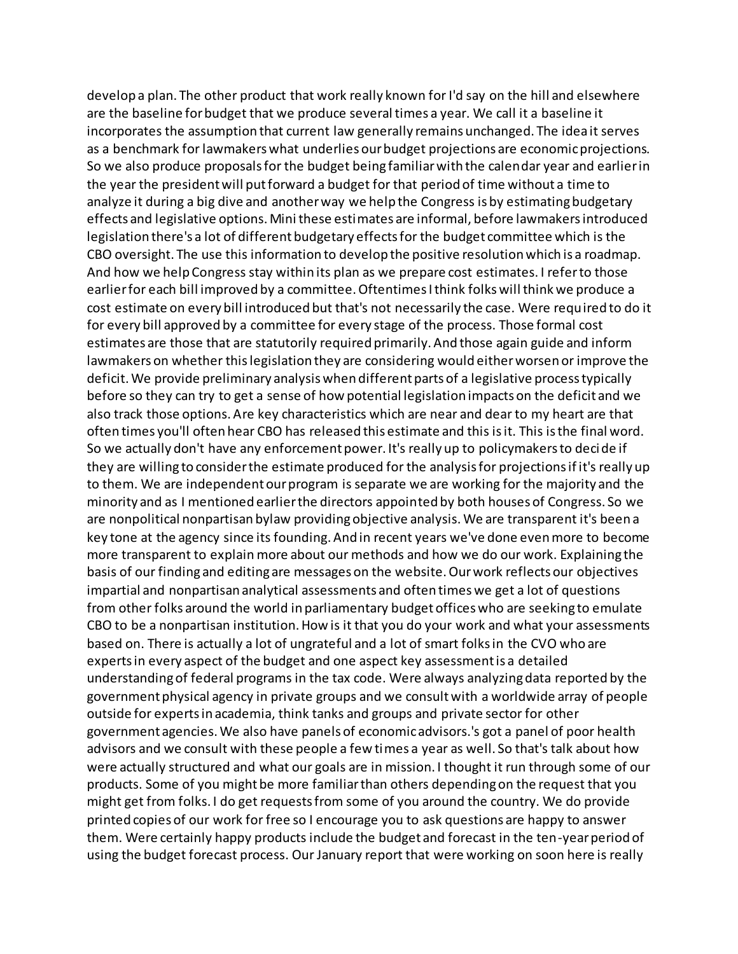develop a plan. The other product that work really known for I'd say on the hill and elsewhere are the baseline for budget that we produce several times a year. We call it a baseline it incorporates the assumption that current law generally remains unchanged. The idea it serves as a benchmark for lawmakers what underlies our budget projections are economic projections. So we also produce proposals for the budget being familiar with the calendar year and earlier in the year the president will put forward a budget for that period of time without a time to analyze it during a big dive and another way we help the Congress is by estimating budgetary effects and legislative options. Mini these estimates are informal, before lawmakers introduced legislation there's a lot of different budgetary effects for the budget committee which is the CBO oversight. The use this information to develop the positive resolution which is a roadmap. And how we help Congress stay within its plan as we prepare cost estimates. I refer to those earlier for each bill improved by a committee. Oftentimes I think folks will think we produce a cost estimate on every bill introduced but that's not necessarily the case. Were required to do it for every bill approved by a committee for every stage of the process. Those formal cost estimates are those that are statutorily required primarily. And those again guide and inform lawmakers on whether this legislation they are considering would either worsen or improve the deficit. We provide preliminary analysis when different parts of a legislative process typically before so they can try to get a sense of how potential legislation impacts on the deficit and we also track those options. Are key characteristics which are near and dear to my heart are that often times you'll often hear CBO has released this estimate and this is it. This is the final word. So we actually don't have any enforcement power. It's really up to policymakers to decide if they are willing to consider the estimate produced for the analysis for projections if it's really up to them. We are independent our program is separate we are working for the majority and the minority and as I mentioned earlier the directors appointed by both houses of Congress. So we are nonpolitical nonpartisan bylaw providing objective analysis. We are transparent it's been a key tone at the agency since its founding. And in recent years we've done even more to become more transparent to explain more about our methods and how we do our work. Explaining the basis of our finding and editing are messages on the website. Our work reflects our objectives impartial and nonpartisan analytical assessments and often times we get a lot of questions from other folks around the world in parliamentary budget offices who are seeking to emulate CBO to be a nonpartisan institution. How is it that you do your work and what your assessments based on. There is actually a lot of ungrateful and a lot of smart folks in the CVO who are experts in every aspect of the budget and one aspect key assessment is a detailed understanding of federal programs in the tax code. Were always analyzing data reported by the government physical agency in private groups and we consult with a worldwide array of people outside for experts in academia, think tanks and groups and private sector for other government agencies. We also have panels of economic advisors.'s got a panel of poor health advisors and we consult with these people a few times a year as well. So that's talk about how were actually structured and what our goals are in mission. I thought it run through some of our products. Some of you might be more familiar than others depending on the request that you might get from folks. I do get requests from some of you around the country. We do provide printed copies of our work for free so I encourage you to ask questions are happy to answer them. Were certainly happy products include the budget and forecast in the ten-year period of using the budget forecast process. Our January report that were working on soon here is really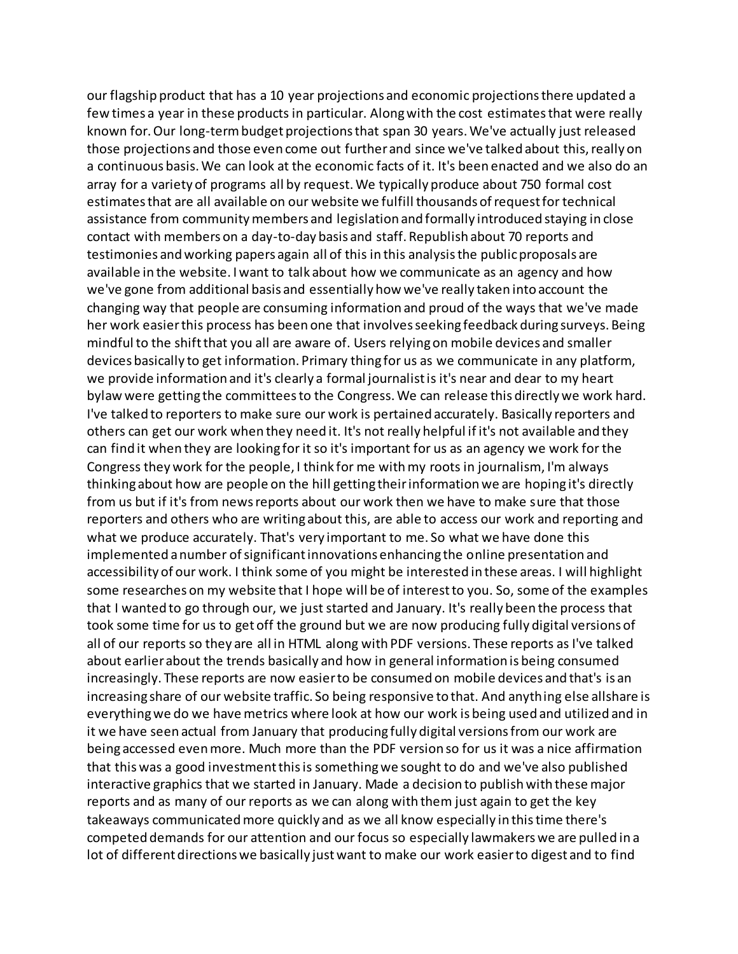our flagship product that has a 10 year projections and economic projections there updated a few times a year in these products in particular. Along with the cost estimates that were really known for. Our long-term budget projections that span 30 years. We've actually just released those projections and those even come out further and since we've talked about this, really on a continuous basis. We can look at the economic facts of it. It's been enacted and we also do an array for a variety of programs all by request. We typically produce about 750 formal cost estimates that are all available on our website we fulfill thousands of request for technical assistance from community members and legislation and formally introduced staying in close contact with members on a day-to-day basis and staff. Republish about 70 reports and testimonies and working papers again all of this in this analysis the public proposals are available in the website. I want to talk about how we communicate as an agency and how we've gone from additional basis and essentially how we've really taken into account the changing way that people are consuming information and proud of the ways that we've made her work easier this process has been one that involves seeking feedback during surveys. Being mindful to the shift that you all are aware of. Users relying on mobile devices and smaller devices basically to get information. Primary thing for us as we communicate in any platform, we provide information and it's clearly a formal journalist is it's near and dear to my heart bylaw were getting the committees to the Congress. We can release this directly we work hard. I've talked to reporters to make sure our work is pertained accurately. Basically reporters and others can get our work when they need it. It's not really helpful if it's not available and they can find it when they are looking for it so it's important for us as an agency we work for the Congress they work for the people, I think for me with my roots in journalism, I'm always thinking about how are people on the hill getting their information we are hoping it's directly from us but if it's from news reports about our work then we have to make sure that those reporters and others who are writing about this, are able to access our work and reporting and what we produce accurately. That's very important to me. So what we have done this implemented a number of significant innovations enhancing the online presentation and accessibility of our work. I think some of you might be interested in these areas. I will highlight some researches on my website that I hope will be of interest to you. So, some of the examples that I wanted to go through our, we just started and January. It's really been the process that took some time for us to get off the ground but we are now producing fully digital versions of all of our reports so they are all in HTML along with PDF versions. These reports as I've talked about earlier about the trends basically and how in general information is being consumed increasingly. These reports are now easier to be consumed on mobile devices and that's is an increasing share of our website traffic. So being responsive to that. And anything else allshare is everything we do we have metrics where look at how our work is being used and utilized and in it we have seen actual from January that producing fully digital versions from our work are being accessed even more. Much more than the PDF version so for us it was a nice affirmation that this was a good investment this is something we sought to do and we've also published interactive graphics that we started in January. Made a decision to publish with these major reports and as many of our reports as we can along with them just again to get the key takeaways communicated more quickly and as we all know especially in this time there's competed demands for our attention and our focus so especially lawmakers we are pulled in a lot of different directions we basically just want to make our work easier to digest and to find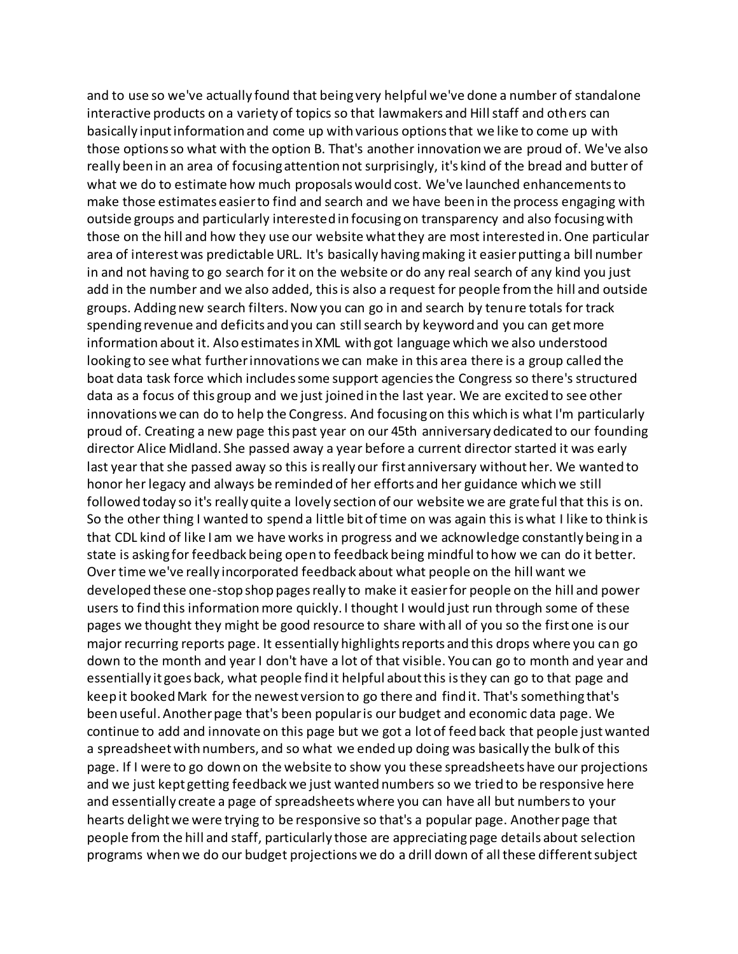and to use so we've actually found that being very helpful we've done a number of standalone interactive products on a variety of topics so that lawmakers and Hill staff and others can basically input information and come up with various options that we like to come up with those options so what with the option B. That's another innovation we are proud of. We've also really been in an area of focusing attention not surprisingly, it's kind of the bread and butter of what we do to estimate how much proposals would cost. We've launched enhancements to make those estimates easier to find and search and we have been in the process engaging with outside groups and particularly interested in focusing on transparency and also focusing with those on the hill and how they use our website what they are most interested in. One particular area of interest was predictable URL. It's basically having making it easier putting a bill number in and not having to go search for it on the website or do any real search of any kind you just add in the number and we also added, this is also a request for people from the hill and outside groups. Adding new search filters. Now you can go in and search by tenure totals for track spending revenue and deficits and you can still search by keyword and you can get more information about it. Also estimates in XML with got language which we also understood looking to see what further innovations we can make in this area there is a group called the boat data task force which includes some support agencies the Congress so there's structured data as a focus of this group and we just joined in the last year. We are excited to see other innovations we can do to help the Congress. And focusing on this which is what I'm particularly proud of. Creating a new page this past year on our 45th anniversary dedicated to our founding director Alice Midland. She passed away a year before a current director started it was early last year that she passed away so this is really our first anniversary without her. We wanted to honor her legacy and always be reminded of her efforts and her guidance which we still followed today so it's really quite a lovely section of our website we are grateful that this is on. So the other thing I wanted to spend a little bit of time on was again this is what I like to think is that CDL kind of like I am we have works in progress and we acknowledge constantly being in a state is asking for feedback being open to feedback being mindful to how we can do it better. Over time we've really incorporated feedback about what people on the hill want we developed these one-stop shop pages really to make it easier for people on the hill and power users to find this information more quickly. I thought I would just run through some of these pages we thought they might be good resource to share with all of you so the first one is our major recurring reports page. It essentially highlights reports and this drops where you can go down to the month and year I don't have a lot of that visible. You can go to month and year and essentially it goes back, what people find it helpful about this is they can go to that page and keep it booked Mark for the newest version to go there and find it. That's something that's been useful. Another page that's been popular is our budget and economic data page. We continue to add and innovate on this page but we got a lot of feed back that people just wanted a spreadsheet with numbers, and so what we ended up doing was basically the bulk of this page. If I were to go down on the website to show you these spreadsheets have our projections and we just kept getting feedback we just wanted numbers so we tried to be responsive here and essentially create a page of spreadsheets where you can have all but numbers to your hearts delight we were trying to be responsive so that's a popular page. Another page that people from the hill and staff, particularly those are appreciating page details about selection programs when we do our budget projections we do a drill down of all these different subject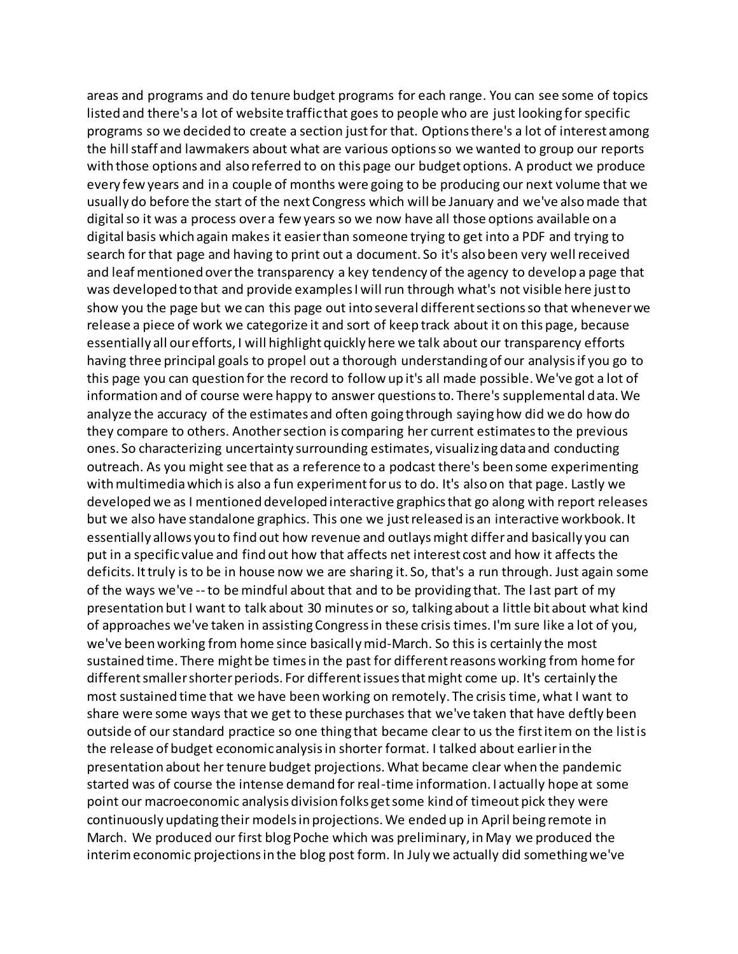areas and programs and do tenure budget programs for each range. You can see some of topics listed and there's a lot of website traffic that goes to people who are just looking for specific programs so we decided to create a section just for that. Options there's a lot of interest among the hill staff and lawmakers about what are various options so we wanted to group our reports with those options and also referred to on this page our budget options. A product we produce every few years and in a couple of months were going to be producing our next volume that we usually do before the start of the next Congress which will be January and we've also made that digital so it was a process over a few years so we now have all those options available on a digital basis which again makes it easier than someone trying to get into a PDF and trying to search for that page and having to print out a document. So it's also been very well received and leaf mentioned over the transparency a key tendency of the agency to develop a page that was developed to that and provide examples I will run through what's not visible here just to show you the page but we can this page out into several different sections so that whenever we release a piece of work we categorize it and sort of keep track about it on this page, because essentially all our efforts, I will highlight quickly here we talk about our transparency efforts having three principal goals to propel out a thorough understanding of our analysis if you go to this page you can question for the record to follow up it's all made possible. We've got a lot of information and of course were happy to answer questions to. There's supplemental data. We analyze the accuracy of the estimates and often going through saying how did we do how do they compare to others. Another section is comparing her current estimates to the previous ones. So characterizing uncertainty surrounding estimates, visualizing data and conducting outreach. As you might see that as a reference to a podcast there's been some experimenting with multimedia which is also a fun experiment for us to do. It's also on that page. Lastly we developed we as I mentioned developed interactive graphics that go along with report releases but we also have standalone graphics. This one we just released is an interactive workbook. It essentially allows you to find out how revenue and outlays might differ and basically you can put in a specific value and find out how that affects net interest cost and how it affects the deficits. It truly is to be in house now we are sharing it. So, that's a run through. Just again some of the ways we've --to be mindful about that and to be providing that. The last part of my presentation but I want to talk about 30 minutes or so, talking about a little bit about what kind of approaches we've taken in assisting Congress in these crisis times. I'm sure like a lot of you, we've been working from home since basically mid-March. So this is certainly the most sustained time. There might be times in the past for different reasons working from home for different smaller shorter periods. For different issues that might come up. It's certainly the most sustained time that we have been working on remotely. The crisis time, what I want to share were some ways that we get to these purchases that we've taken that have deftly been outside of our standard practice so one thing that became clear to us the first item on the list is the release of budget economic analysis in shorter format. I talked about earlier in the presentation about her tenure budget projections. What became clear when the pandemic started was of course the intense demand for real-time information. I actually hope at some point our macroeconomic analysis division folks get some kind of timeout pick they were continuously updating their models in projections. We ended up in April being remote in March. We produced our first blog Poche which was preliminary, in May we produced the interim economic projections in the blog post form. In July we actually did something we've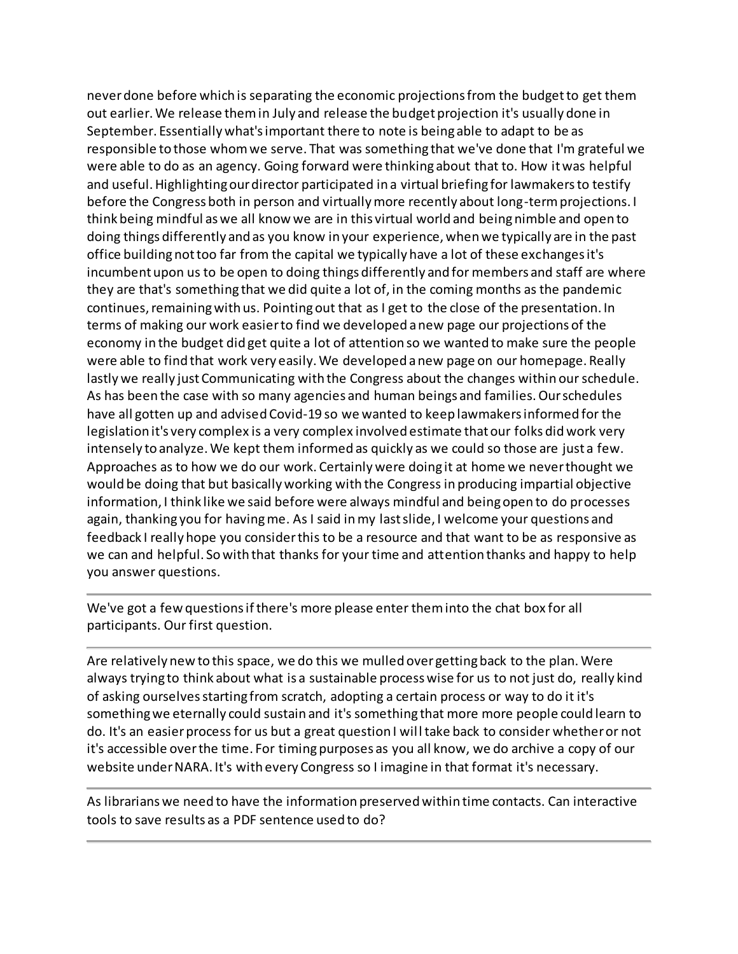never done before which is separating the economic projections from the budget to get them out earlier. We release them in July and release the budget projection it's usually done in September. Essentially what's important there to note is being able to adapt to be as responsible to those whom we serve. That was something that we've done that I'm grateful we were able to do as an agency. Going forward were thinking about that to. How it was helpful and useful. Highlighting our director participated in a virtual briefing for lawmakers to testify before the Congress both in person and virtually more recently about long-term projections. I think being mindful as we all know we are in this virtual world and being nimble and open to doing things differently and as you know in your experience, when we typically are in the past office building not too far from the capital we typically have a lot of these exchanges it's incumbent upon us to be open to doing things differently and for members and staff are where they are that's something that we did quite a lot of, in the coming months as the pandemic continues, remaining with us. Pointing out that as I get to the close of the presentation. In terms of making our work easier to find we developed a new page our projections of the economy in the budget did get quite a lot of attention so we wanted to make sure the people were able to find that work very easily. We developed a new page on our homepage. Really lastly we really just Communicating with the Congress about the changes within our schedule. As has been the case with so many agencies and human beings and families. Our schedules have all gotten up and advised Covid-19 so we wanted to keep lawmakers informed for the legislation it's very complex is a very complex involved estimate that our folks did work very intensely to analyze. We kept them informed as quickly as we could so those are just a few. Approaches as to how we do our work. Certainly were doing it at home we never thought we would be doing that but basically working with the Congress in producing impartial objective information, I think like we said before were always mindful and being open to do processes again, thanking you for having me. As I said in my last slide, I welcome your questions and feedback I really hope you consider this to be a resource and that want to be as responsive as we can and helpful. So with that thanks for your time and attention thanks and happy to help you answer questions.

We've got a few questions if there's more please enter them into the chat box for all participants. Our first question.

Are relatively new to this space, we do this we mulled over getting back to the plan. Were always trying to think about what is a sustainable process wise for us to not just do, really kind of asking ourselves starting from scratch, adopting a certain process or way to do it it's something we eternally could sustain and it's something that more more people could learn to do. It's an easier process for us but a great question I will take back to consider whether or not it's accessible over the time. For timing purposes as you all know, we do archive a copy of our website under NARA. It's with every Congress so I imagine in that format it's necessary.

As librarians we need to have the information preserved within time contacts. Can interactive tools to save results as a PDF sentence used to do?